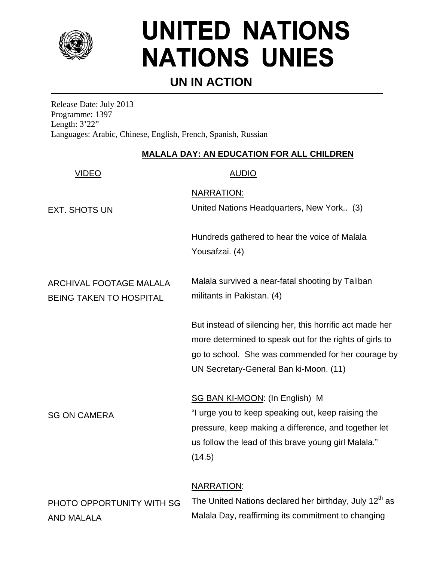

## **UNITED NATIONS NATIONS UNIES**

## **UN IN ACTION**

Release Date: July 2013 Programme: 1397 Length: 3'22" Languages: Arabic, Chinese, English, French, Spanish, Russian

## **MALALA DAY: AN EDUCATION FOR ALL CHILDREN**

| <b>VIDEO</b>                   | <b>AUDIO</b>                                                       |
|--------------------------------|--------------------------------------------------------------------|
|                                | NARRATION:                                                         |
| <b>EXT. SHOTS UN</b>           | United Nations Headquarters, New York (3)                          |
|                                | Hundreds gathered to hear the voice of Malala                      |
|                                | Yousafzai. (4)                                                     |
| ARCHIVAL FOOTAGE MALALA        | Malala survived a near-fatal shooting by Taliban                   |
| <b>BEING TAKEN TO HOSPITAL</b> | militants in Pakistan. (4)                                         |
|                                | But instead of silencing her, this horrific act made her           |
|                                | more determined to speak out for the rights of girls to            |
|                                | go to school. She was commended for her courage by                 |
|                                | UN Secretary-General Ban ki-Moon. (11)                             |
|                                | SG BAN KI-MOON: (In English) M                                     |
| <b>SG ON CAMERA</b>            | "I urge you to keep speaking out, keep raising the                 |
|                                | pressure, keep making a difference, and together let               |
|                                | us follow the lead of this brave young girl Malala."               |
|                                | (14.5)                                                             |
|                                | <b>NARRATION:</b>                                                  |
| PHOTO OPPORTUNITY WITH SG      | The United Nations declared her birthday, July 12 <sup>th</sup> as |
| <b>AND MALALA</b>              | Malala Day, reaffirming its commitment to changing                 |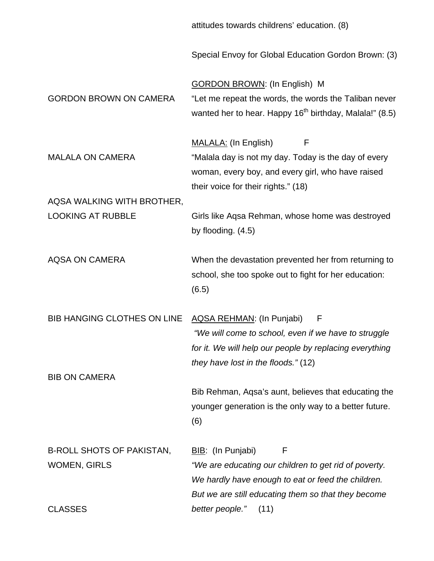|                                    | attitudes towards childrens' education. (8)                                                                        |
|------------------------------------|--------------------------------------------------------------------------------------------------------------------|
|                                    | Special Envoy for Global Education Gordon Brown: (3)                                                               |
|                                    | <b>GORDON BROWN: (In English) M</b>                                                                                |
| <b>GORDON BROWN ON CAMERA</b>      | "Let me repeat the words, the words the Taliban never<br>wanted her to hear. Happy $16th$ birthday, Malala!" (8.5) |
|                                    | F<br>MALALA: (In English)                                                                                          |
| <b>MALALA ON CAMERA</b>            | "Malala day is not my day. Today is the day of every<br>woman, every boy, and every girl, who have raised          |
|                                    | their voice for their rights." (18)                                                                                |
| AQSA WALKING WITH BROTHER,         |                                                                                                                    |
| <b>LOOKING AT RUBBLE</b>           | Girls like Aqsa Rehman, whose home was destroyed<br>by flooding. $(4.5)$                                           |
| <b>AQSA ON CAMERA</b>              | When the devastation prevented her from returning to                                                               |
|                                    | school, she too spoke out to fight for her education:<br>(6.5)                                                     |
| <b>BIB HANGING CLOTHES ON LINE</b> | <b>AQSA REHMAN: (In Punjabi)</b><br>F                                                                              |
|                                    | "We will come to school, even if we have to struggle                                                               |
|                                    | for it. We will help our people by replacing everything                                                            |
| <b>BIB ON CAMERA</b>               | they have lost in the floods." (12)                                                                                |
|                                    | Bib Rehman, Aqsa's aunt, believes that educating the                                                               |
|                                    | younger generation is the only way to a better future.<br>(6)                                                      |
| <b>B-ROLL SHOTS OF PAKISTAN,</b>   | F<br>BIB: (In Punjabi)                                                                                             |
| <b>WOMEN, GIRLS</b>                | "We are educating our children to get rid of poverty.                                                              |
|                                    | We hardly have enough to eat or feed the children.                                                                 |
|                                    | But we are still educating them so that they become                                                                |
| <b>CLASSES</b>                     | better people."<br>(11)                                                                                            |